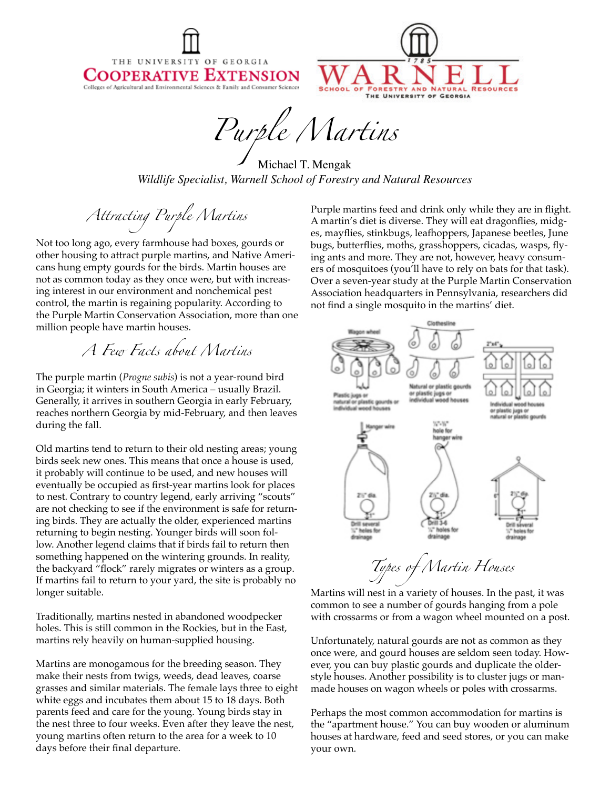THE UNIVERSITY OF GEORGIA COOPERATIVE EXTENSION Colleges of Agricultural and Environmental Sciences & Family and Consumer Sciences



*Purple Martins*

Michael T. Mengak *Wildlife Specialist, Warnell School of Forestry and Natural Resources*

*Attracting Purple Martins*

Not too long ago, every farmhouse had boxes, gourds or other housing to attract purple martins, and Native Americans hung empty gourds for the birds. Martin houses are not as common today as they once were, but with increasing interest in our environment and nonchemical pest control, the martin is regaining popularity. According to the Purple Martin Conservation Association, more than one million people have martin houses.

*A Few Facts about Martins*

The purple martin (*Progne subis*) is not a year-round bird in Georgia; it winters in South America – usually Brazil. Generally, it arrives in southern Georgia in early February, reaches northern Georgia by mid-February, and then leaves during the fall.

Old martins tend to return to their old nesting areas; young birds seek new ones. This means that once a house is used, it probably will continue to be used, and new houses will eventually be occupied as first-year martins look for places to nest. Contrary to country legend, early arriving "scouts" are not checking to see if the environment is safe for returning birds. They are actually the older, experienced martins returning to begin nesting. Younger birds will soon follow. Another legend claims that if birds fail to return then something happened on the wintering grounds. In reality, the backyard "flock" rarely migrates or winters as a group. If martins fail to return to your yard, the site is probably no longer suitable.

Traditionally, martins nested in abandoned woodpecker holes. This is still common in the Rockies, but in the East, martins rely heavily on human-supplied housing.

Martins are monogamous for the breeding season. They make their nests from twigs, weeds, dead leaves, coarse grasses and similar materials. The female lays three to eight white eggs and incubates them about 15 to 18 days. Both parents feed and care for the young. Young birds stay in the nest three to four weeks. Even after they leave the nest, young martins often return to the area for a week to 10 days before their final departure.

Purple martins feed and drink only while they are in flight. A martin's diet is diverse. They will eat dragonflies, midges, mayflies, stinkbugs, leafhoppers, Japanese beetles, June bugs, butterflies, moths, grasshoppers, cicadas, wasps, flying ants and more. They are not, however, heavy consumers of mosquitoes (you'll have to rely on bats for that task). Over a seven-year study at the Purple Martin Conservation Association headquarters in Pennsylvania, researchers did not find a single mosquito in the martins' diet.



Martins will nest in a variety of houses. In the past, it was common to see a number of gourds hanging from a pole with crossarms or from a wagon wheel mounted on a post.

Unfortunately, natural gourds are not as common as they once were, and gourd houses are seldom seen today. However, you can buy plastic gourds and duplicate the olderstyle houses. Another possibility is to cluster jugs or manmade houses on wagon wheels or poles with crossarms.

Perhaps the most common accommodation for martins is the "apartment house." You can buy wooden or aluminum houses at hardware, feed and seed stores, or you can make your own.